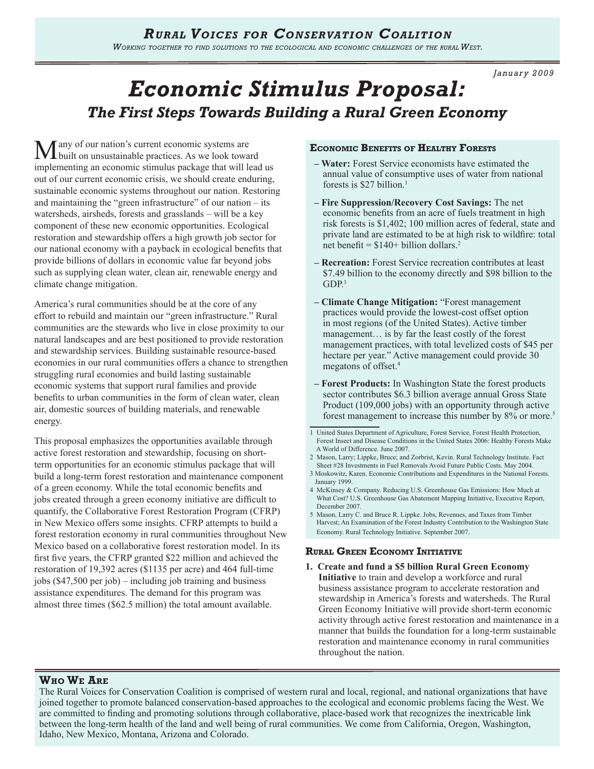*January 2009*

# *Economic Stimulus Proposal: The First Steps Towards Building a Rural Green Economy*

Many of our nation's current economic systems are built on unsustainable practices. As we look toward implementing an economic stimulus package that will lead us out of our current economic crisis, we should create enduring, sustainable economic systems throughout our nation. Restoring and maintaining the "green infrastructure" of our nation – its watersheds, airsheds, forests and grasslands – will be a key component of these new economic opportunities. Ecological restoration and stewardship offers a high growth job sector for our national economy with a payback in ecological benefits that provide billions of dollars in economic value far beyond jobs such as supplying clean water, clean air, renewable energy and climate change mitigation.

America's rural communities should be at the core of any effort to rebuild and maintain our "green infrastructure." Rural communities are the stewards who live in close proximity to our natural landscapes and are best positioned to provide restoration and stewardship services. Building sustainable resource-based economies in our rural communities offers a chance to strengthen struggling rural economies and build lasting sustainable economic systems that support rural families and provide benefits to urban communities in the form of clean water, clean air, domestic sources of building materials, and renewable energy.

This proposal emphasizes the opportunities available through active forest restoration and stewardship, focusing on shortterm opportunities for an economic stimulus package that will build a long-term forest restoration and maintenance component of a green economy. While the total economic benefits and jobs created through a green economy initiative are difficult to quantify, the Collaborative Forest Restoration Program (CFRP) in New Mexico offers some insights. CFRP attempts to build a forest restoration economy in rural communities throughout New Mexico based on a collaborative forest restoration model. In its first five years, the CFRP granted \$22 million and achieved the restoration of 19,392 acres (\$1135 per acre) and 464 full-time jobs (\$47,500 per job) – including job training and business assistance expenditures. The demand for this program was almost three times (\$62.5 million) the total amount available.

# **Economic Benefits of Healthy Forests**

- **Water:** Forest Service economists have estimated the annual value of consumptive uses of water from national forests is \$27 billion.<sup>1</sup>
- **Fire Suppression/Recovery Cost Savings:** The net economic benefits from an acre of fuels treatment in high risk forests is \$1,402; 100 million acres of federal, state and private land are estimated to be at high risk to wildfire: total net benefit =  $$140+$  billion dollars.<sup>2</sup>
- **Recreation:** Forest Service recreation contributes at least \$7.49 billion to the economy directly and \$98 billion to the GDP.<sup>3</sup>
- **Climate Change Mitigation:** "Forest management practices would provide the lowest-cost offset option in most regions (of the United States). Active timber management… is by far the least costly of the forest management practices, with total levelized costs of \$45 per hectare per year." Active management could provide 30 megatons of offset.<sup>4</sup>
- **Forest Products:** In Washington State the forest products sector contributes \$6.3 billion average annual Gross State Product (109,000 jobs) with an opportunity through active forest management to increase this number by 8% or more.<sup>5</sup>
- 1 United States Department of Agriculture, Forest Service, Forest Health Protection, Forest Insect and Disease Conditions in the United States 2006: Healthy Forests Make A World of Difference. June 2007.

- 3 Moskowitz, Karen. Economic Contributions and Expenditures in the National Forests. January 1999.
- 4 McKinsey & Company. Reducing U.S. Greenhouse Gas Emissions: How Much at What Cost? U.S. Greenhouse Gas Abatement Mapping Initiative, Executive Report, December 2007.
- 5 Mason, Larry C. and Bruce R. Lippke. Jobs, Revenues, and Taxes from Timber Harvest; An Examination of the Forest Industry Contribution to the Washington State Economy. Rural Technology Initiative. September 2007.

# **Rural Green Economy Initiative**

**1. Create and fund a \$5 billion Rural Green Economy Initiative** to train and develop a workforce and rural business assistance program to accelerate restoration and stewardship in America's forests and watersheds. The Rural Green Economy Initiative will provide short-term economic activity through active forest restoration and maintenance in a manner that builds the foundation for a long-term sustainable restoration and maintenance economy in rural communities throughout the nation.

# **Who We Are**

The Rural Voices for Conservation Coalition is comprised of western rural and local, regional, and national organizations that have joined together to promote balanced conservation-based approaches to the ecological and economic problems facing the West. We are committed to finding and promoting solutions through collaborative, place-based work that recognizes the inextricable link between the long-term health of the land and well being of rural communities. We come from California, Oregon, Washington, Idaho, New Mexico, Montana, Arizona and Colorado.

<sup>2</sup> Mason, Larry; Lippke, Bruce; and Zorbrist, Kevin. Rural Technology Institute. Fact Sheet #28 Investments in Fuel Removals Avoid Future Public Costs. May 2004.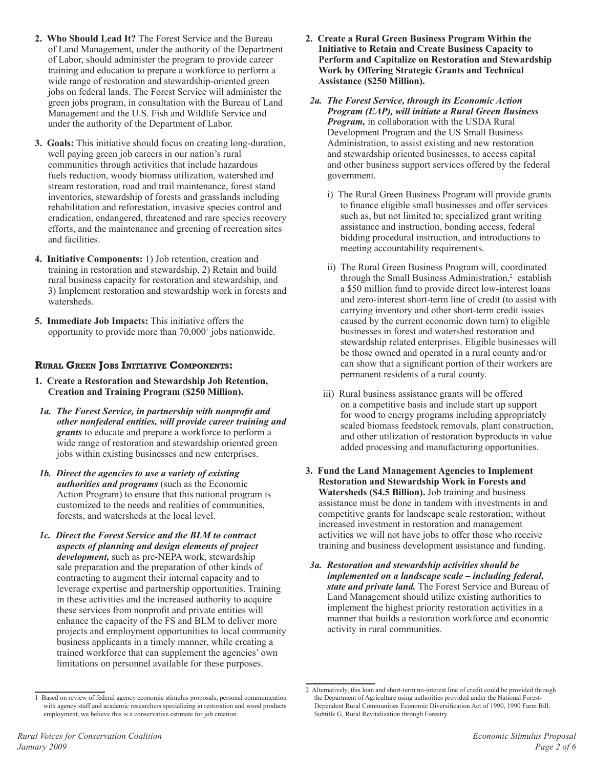- **2. Who Should Lead It?** The Forest Service and the Bureau of Land Management, under the authority of the Department of Labor, should administer the program to provide career training and education to prepare a workforce to perform a wide range of restoration and stewardship-oriented green jobs on federal lands. The Forest Service will administer the green jobs program, in consultation with the Bureau of Land Management and the U.S. Fish and Wildlife Service and under the authority of the Department of Labor.
- **3. Goals:** This initiative should focus on creating long-duration, well paying green job careers in our nation's rural communities through activities that include hazardous fuels reduction, woody biomass utilization, watershed and stream restoration, road and trail maintenance, forest stand inventories, stewardship of forests and grasslands including rehabilitation and reforestation, invasive species control and eradication, endangered, threatened and rare species recovery efforts, and the maintenance and greening of recreation sites and facilities.
- **4. Initiative Components:** 1) Job retention, creation and training in restoration and stewardship, 2) Retain and build rural business capacity for restoration and stewardship, and 3) Implement restoration and stewardship work in forests and watersheds.
- **5. Immediate Job Impacts:** This initiative offers the opportunity to provide more than 70,000<sup>1</sup> jobs nationwide.

# **Rural Green Jobs Initiative Components:**

- **1. Create a Restoration and Stewardship Job Retention, Creation and Training Program (\$250 Million).**
- *1a. The Forest Service, in partnership with nonprofit and other nonfederal entities, will provide career training and grants* to educate and prepare a workforce to perform a wide range of restoration and stewardship oriented green jobs within existing businesses and new enterprises.
- *1b. Direct the agencies to use a variety of existing authorities and programs* (such as the Economic Action Program) to ensure that this national program is customized to the needs and realities of communities, forests, and watersheds at the local level.
- *1c. Direct the Forest Service and the BLM to contract aspects of planning and design elements of project development,* such as pre-NEPA work, stewardship sale preparation and the preparation of other kinds of contracting to augment their internal capacity and to leverage expertise and partnership opportunities. Training in these activities and the increased authority to acquire these services from nonprofit and private entities will enhance the capacity of the FS and BLM to deliver more projects and employment opportunities to local community business applicants in a timely manner, while creating a trained workforce that can supplement the agencies' own limitations on personnel available for these purposes.
- **2. Create a Rural Green Business Program Within the Initiative to Retain and Create Business Capacity to Perform and Capitalize on Restoration and Stewardship Work by Offering Strategic Grants and Technical Assistance (\$250 Million).**
- *2a. The Forest Service, through its Economic Action Program (EAP), will initiate a Rural Green Business Program,* in collaboration with the USDA Rural Development Program and the US Small Business Administration, to assist existing and new restoration and stewardship oriented businesses, to access capital and other business support services offered by the federal government.
	- i) The Rural Green Business Program will provide grants to finance eligible small businesses and offer services such as, but not limited to; specialized grant writing assistance and instruction, bonding access, federal bidding procedural instruction, and introductions to meeting accountability requirements.
	- ii) The Rural Green Business Program will, coordinated through the Small Business Administration, $2$  establish a \$50 million fund to provide direct low-interest loans and zero-interest short-term line of credit (to assist with carrying inventory and other short-term credit issues caused by the current economic down turn) to eligible businesses in forest and watershed restoration and stewardship related enterprises. Eligible businesses will be those owned and operated in a rural county and/or can show that a significant portion of their workers are permanent residents of a rural county.
	- iii) Rural business assistance grants will be offered on a competitive basis and include start up support for wood to energy programs including appropriately scaled biomass feedstock removals, plant construction, and other utilization of restoration byproducts in value added processing and manufacturing opportunities.
- **3. Fund the Land Management Agencies to Implement Restoration and Stewardship Work in Forests and Watersheds (\$4.5 Billion).** Job training and business assistance must be done in tandem with investments in and competitive grants for landscape scale restoration; without increased investment in restoration and management activities we will not have jobs to offer those who receive training and business development assistance and funding.
- *3a. Restoration and stewardship activities should be implemented on a landscape scale – including federal, state and private land.* The Forest Service and Bureau of Land Management should utilize existing authorities to implement the highest priority restoration activities in a manner that builds a restoration workforce and economic activity in rural communities.

<sup>1</sup> Based on review of federal agency economic stimulus proposals, personal communication with agency staff and academic researchers specializing in restoration and wood products employment, we believe this is a conservative estimate for job creation.

<sup>2</sup> Alternatively, this loan and short-term no-interest line of credit could be provided through the Department of Agriculture using authorities provided under the National Forest-Dependent Rural Communities Economic Diversification Act of 1990, 1990 Farm Bill, Subtitle G, Rural Revitalization through Forestry.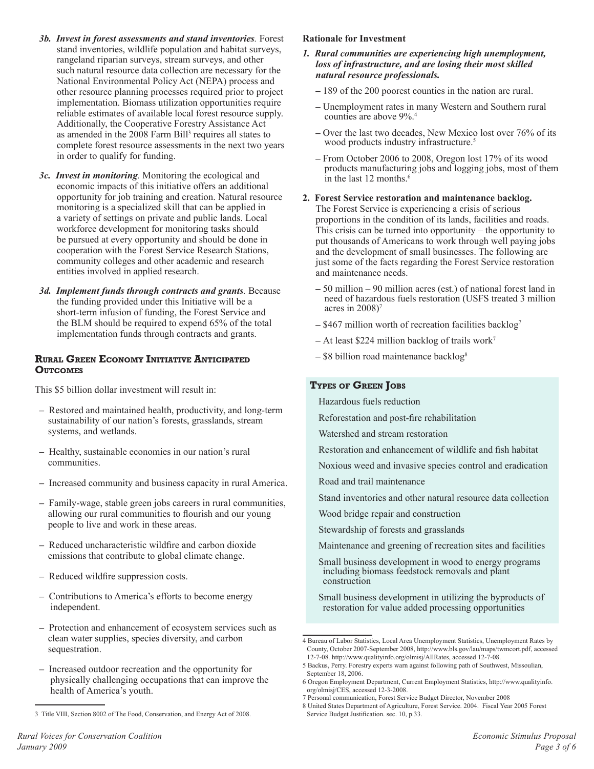- *3b. Invest in forest assessments and stand inventories.* Forest stand inventories, wildlife population and habitat surveys, rangeland riparian surveys, stream surveys, and other such natural resource data collection are necessary for the National Environmental Policy Act (NEPA) process and other resource planning processes required prior to project implementation. Biomass utilization opportunities require reliable estimates of available local forest resource supply. Additionally, the Cooperative Forestry Assistance Act as amended in the 2008 Farm Bill<sup>3</sup> requires all states to complete forest resource assessments in the next two years in order to qualify for funding.
- *3c. Invest in monitoring.* Monitoring the ecological and economic impacts of this initiative offers an additional opportunity for job training and creation. Natural resource monitoring is a specialized skill that can be applied in a variety of settings on private and public lands. Local workforce development for monitoring tasks should be pursued at every opportunity and should be done in cooperation with the Forest Service Research Stations, community colleges and other academic and research entities involved in applied research.
- *3d. Implement funds through contracts and grants.* Because the funding provided under this Initiative will be a short-term infusion of funding, the Forest Service and the BLM should be required to expend 65% of the total implementation funds through contracts and grants.

## **Rural Green Economy Initiative Anticipated OUTCOMES**

This \$5 billion dollar investment will result in:

- Restored and maintained health, productivity, and long-term sustainability of our nation's forests, grasslands, stream systems, and wetlands.
- Healthy, sustainable economies in our nation's rural communities.
- Increased community and business capacity in rural America.
- Family-wage, stable green jobs careers in rural communities, allowing our rural communities to flourish and our young people to live and work in these areas.
- Reduced uncharacteristic wildfire and carbon dioxide emissions that contribute to global climate change.
- Reduced wildfire suppression costs.
- **–** Contributions to America's efforts to become energy independent.
- Protection and enhancement of ecosystem services such as clean water supplies, species diversity, and carbon sequestration.
- Increased outdoor recreation and the opportunity for physically challenging occupations that can improve the health of America's youth.

#### **Rationale for Investment**

- *1. Rural communities are experiencing high unemployment, loss of infrastructure, and are losing their most skilled natural resource professionals.* 
	- 189 of the 200 poorest counties in the nation are rural.
	- Unemployment rates in many Western and Southern rural counties are above 9%.4
	- Over the last two decades, New Mexico lost over 76% of its wood products industry infrastructure.<sup>5</sup>
	- From October 2006 to 2008, Oregon lost 17% of its wood products manufacturing jobs and logging jobs, most of them in the last 12 months.<sup>6</sup>
- **2. Forest Service restoration and maintenance backlog.** The Forest Service is experiencing a crisis of serious proportions in the condition of its lands, facilities and roads. This crisis can be turned into opportunity – the opportunity to put thousands of Americans to work through well paying jobs and the development of small businesses. The following are just some of the facts regarding the Forest Service restoration and maintenance needs.
	- 50 million 90 million acres (est.) of national forest land in need of hazardous fuels restoration (USFS treated 3 million acres in 2008)7
	- \$467 million worth of recreation facilities backlog7
	- At least \$224 million backlog of trails work7
	- \$8 billion road maintenance backlog8

# **Types of Green Jobs**

- Hazardous fuels reduction
- Reforestation and post-fire rehabilitation
- Watershed and stream restoration
- Restoration and enhancement of wildlife and fish habitat
- Noxious weed and invasive species control and eradication
- Road and trail maintenance
- Stand inventories and other natural resource data collection
- Wood bridge repair and construction
- Stewardship of forests and grasslands
- Maintenance and greening of recreation sites and facilities
- Small business development in wood to energy programs including biomass feedstock removals and plant construction

Small business development in utilizing the byproducts of restoration for value added processing opportunities

<sup>3</sup> Title VIII, Section 8002 of The Food, Conservation, and Energy Act of 2008.

<sup>4</sup> Bureau of Labor Statistics, Local Area Unemployment Statistics, Unemployment Rates by County, October 2007-September 2008, http://www.bls.gov/lau/maps/twmcort.pdf, accessed 12-7-08. http://www.qualityinfo.org/olmisj/AllRates, accessed 12-7-08.

<sup>5</sup> Backus, Perry. Forestry experts warn against following path of Southwest, Missoulian, September 18, 2006.

<sup>6</sup> Oregon Employment Department, Current Employment Statistics, http://www.qualityinfo. org/olmisj/CES, accessed 12-3-2008.

<sup>7</sup> Personal communication, Forest Service Budget Director, November 2008

<sup>8</sup> United States Department of Agriculture, Forest Service. 2004. Fiscal Year 2005 Forest Service Budget Justification. sec. 10, p.33.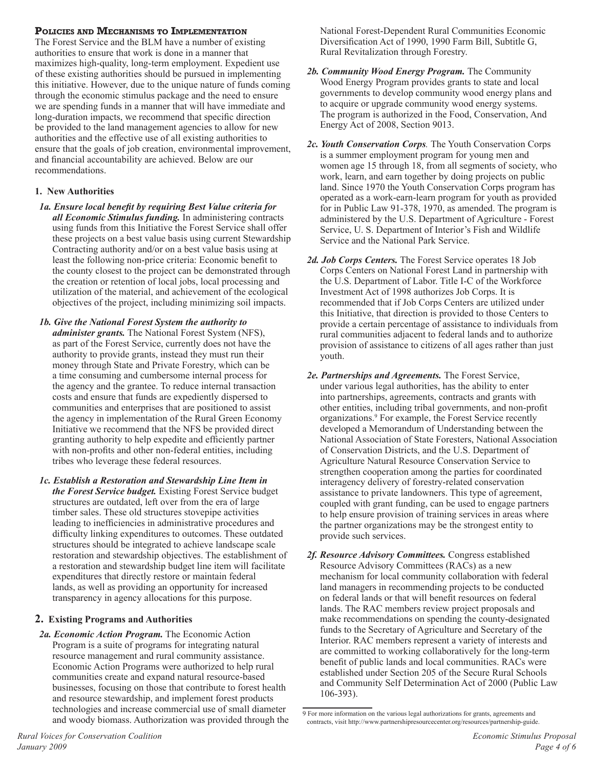# **Policies and Mechanisms to Implementation**

The Forest Service and the BLM have a number of existing authorities to ensure that work is done in a manner that maximizes high-quality, long-term employment. Expedient use of these existing authorities should be pursued in implementing this initiative. However, due to the unique nature of funds coming through the economic stimulus package and the need to ensure we are spending funds in a manner that will have immediate and long-duration impacts, we recommend that specific direction be provided to the land management agencies to allow for new authorities and the effective use of all existing authorities to ensure that the goals of job creation, environmental improvement, and financial accountability are achieved. Below are our recommendations.

# **1. New Authorities**

- *1a. Ensure local benefit by requiring Best Value criteria for all Economic Stimulus funding.* In administering contracts using funds from this Initiative the Forest Service shall offer these projects on a best value basis using current Stewardship Contracting authority and/or on a best value basis using at least the following non-price criteria: Economic benefit to the county closest to the project can be demonstrated through the creation or retention of local jobs, local processing and utilization of the material, and achievement of the ecological objectives of the project, including minimizing soil impacts.
- *1b. Give the National Forest System the authority to administer grants.* The National Forest System (NFS), as part of the Forest Service, currently does not have the authority to provide grants, instead they must run their money through State and Private Forestry, which can be a time consuming and cumbersome internal process for the agency and the grantee. To reduce internal transaction costs and ensure that funds are expediently dispersed to communities and enterprises that are positioned to assist the agency in implementation of the Rural Green Economy Initiative we recommend that the NFS be provided direct granting authority to help expedite and efficiently partner with non-profits and other non-federal entities, including tribes who leverage these federal resources.
- *1c. Establish a Restoration and Stewardship Line Item in the Forest Service budget.* Existing Forest Service budget structures are outdated, left over from the era of large timber sales. These old structures stovepipe activities leading to inefficiencies in administrative procedures and difficulty linking expenditures to outcomes. These outdated structures should be integrated to achieve landscape scale restoration and stewardship objectives. The establishment of a restoration and stewardship budget line item will facilitate expenditures that directly restore or maintain federal lands, as well as providing an opportunity for increased transparency in agency allocations for this purpose.

# **2. Existing Programs and Authorities**

*2a. Economic Action Program.* The Economic Action Program is a suite of programs for integrating natural resource management and rural community assistance. Economic Action Programs were authorized to help rural communities create and expand natural resource-based businesses, focusing on those that contribute to forest health and resource stewardship, and implement forest products technologies and increase commercial use of small diameter and woody biomass. Authorization was provided through the National Forest-Dependent Rural Communities Economic Diversification Act of 1990, 1990 Farm Bill, Subtitle G, Rural Revitalization through Forestry.

- *2b. Community Wood Energy Program.* The Community Wood Energy Program provides grants to state and local governments to develop community wood energy plans and to acquire or upgrade community wood energy systems. The program is authorized in the Food, Conservation, And Energy Act of 2008, Section 9013.
- *2c. Youth Conservation Corps.* The Youth Conservation Corps is a summer employment program for young men and women age 15 through 18, from all segments of society, who work, learn, and earn together by doing projects on public land. Since 1970 the Youth Conservation Corps program has operated as a work-earn-learn program for youth as provided for in Public Law 91-378, 1970, as amended. The program is administered by the U.S. Department of Agriculture - Forest Service, U. S. Department of Interior's Fish and Wildlife Service and the National Park Service.
- *2d. Job Corps Centers.* The Forest Service operates 18 Job Corps Centers on National Forest Land in partnership with the U.S. Department of Labor. Title I-C of the Workforce Investment Act of 1998 authorizes Job Corps. It is recommended that if Job Corps Centers are utilized under this Initiative, that direction is provided to those Centers to provide a certain percentage of assistance to individuals from rural communities adjacent to federal lands and to authorize provision of assistance to citizens of all ages rather than just youth.
- *2e. Partnerships and Agreements.* The Forest Service, under various legal authorities, has the ability to enter into partnerships, agreements, contracts and grants with other entities, including tribal governments, and non-profit organizations.<sup>9</sup> For example, the Forest Service recently developed a Memorandum of Understanding between the National Association of State Foresters, National Association of Conservation Districts, and the U.S. Department of Agriculture Natural Resource Conservation Service to strengthen cooperation among the parties for coordinated interagency delivery of forestry-related conservation assistance to private landowners. This type of agreement, coupled with grant funding, can be used to engage partners to help ensure provision of training services in areas where the partner organizations may be the strongest entity to provide such services.
- *2f. Resource Advisory Committees.* Congress established Resource Advisory Committees (RACs) as a new mechanism for local community collaboration with federal land managers in recommending projects to be conducted on federal lands or that will benefit resources on federal lands. The RAC members review project proposals and make recommendations on spending the county-designated funds to the Secretary of Agriculture and Secretary of the Interior. RAC members represent a variety of interests and are committed to working collaboratively for the long-term benefit of public lands and local communities. RACs were established under Section 205 of the Secure Rural Schools and Community Self Determination Act of 2000 (Public Law 106-393).

<sup>9</sup> For more information on the various legal authorizations for grants, agreements and contracts, visit http://www.partnershipresourcecenter.org/resources/partnership-guide.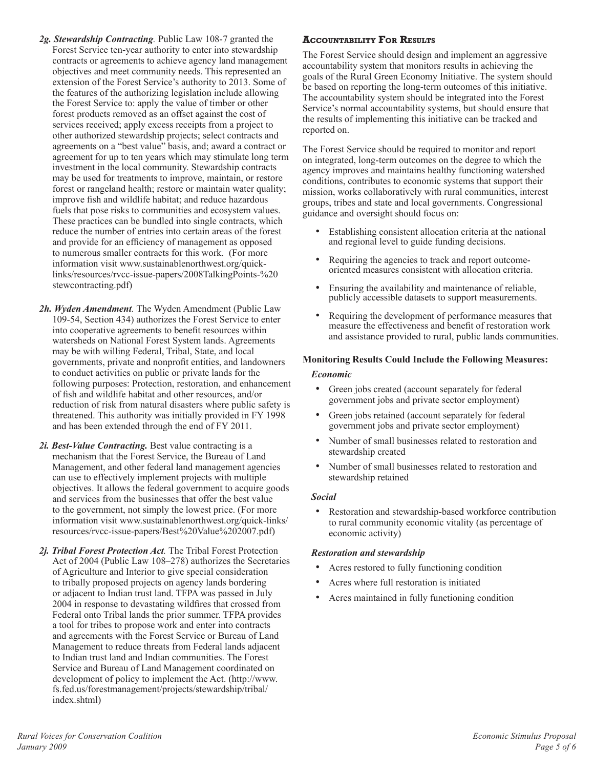- *2g. Stewardship Contracting.* Public Law 108-7 granted the Forest Service ten-year authority to enter into stewardship contracts or agreements to achieve agency land management objectives and meet community needs. This represented an extension of the Forest Service's authority to 2013. Some of the features of the authorizing legislation include allowing the Forest Service to: apply the value of timber or other forest products removed as an offset against the cost of services received; apply excess receipts from a project to other authorized stewardship projects; select contracts and agreements on a "best value" basis, and; award a contract or agreement for up to ten years which may stimulate long term investment in the local community. Stewardship contracts may be used for treatments to improve, maintain, or restore forest or rangeland health; restore or maintain water quality; improve fish and wildlife habitat; and reduce hazardous fuels that pose risks to communities and ecosystem values. These practices can be bundled into single contracts, which reduce the number of entries into certain areas of the forest and provide for an efficiency of management as opposed to numerous smaller contracts for this work. (For more information visit www.sustainablenorthwest.org/quicklinks/resources/rvcc-issue-papers/2008TalkingPoints-%20 stewcontracting.pdf)
- *2h. Wyden Amendment.* The Wyden Amendment (Public Law 109-54, Section 434) authorizes the Forest Service to enter into cooperative agreements to benefit resources within watersheds on National Forest System lands. Agreements may be with willing Federal, Tribal, State, and local governments, private and nonprofit entities, and landowners to conduct activities on public or private lands for the following purposes: Protection, restoration, and enhancement of fish and wildlife habitat and other resources, and/or reduction of risk from natural disasters where public safety is threatened. This authority was initially provided in FY 1998 and has been extended through the end of FY 2011.
- *2i. Best-Value Contracting.* Best value contracting is a mechanism that the Forest Service, the Bureau of Land Management, and other federal land management agencies can use to effectively implement projects with multiple objectives. It allows the federal government to acquire goods and services from the businesses that offer the best value to the government, not simply the lowest price. (For more information visit www.sustainablenorthwest.org/quick-links/ resources/rvcc-issue-papers/Best%20Value%202007.pdf)
- *2j. Tribal Forest Protection Act.* The Tribal Forest Protection Act of 2004 (Public Law 108–278) authorizes the Secretaries of Agriculture and Interior to give special consideration to tribally proposed projects on agency lands bordering or adjacent to Indian trust land. TFPA was passed in July 2004 in response to devastating wildfires that crossed from Federal onto Tribal lands the prior summer. TFPA provides a tool for tribes to propose work and enter into contracts and agreements with the Forest Service or Bureau of Land Management to reduce threats from Federal lands adjacent to Indian trust land and Indian communities. The Forest Service and Bureau of Land Management coordinated on development of policy to implement the Act. (http://www. fs.fed.us/forestmanagement/projects/stewardship/tribal/ index.shtml)

# **Accountability For Results**

The Forest Service should design and implement an aggressive accountability system that monitors results in achieving the goals of the Rural Green Economy Initiative. The system should be based on reporting the long-term outcomes of this initiative. The accountability system should be integrated into the Forest Service's normal accountability systems, but should ensure that the results of implementing this initiative can be tracked and reported on.

The Forest Service should be required to monitor and report on integrated, long-term outcomes on the degree to which the agency improves and maintains healthy functioning watershed conditions, contributes to economic systems that support their mission, works collaboratively with rural communities, interest groups, tribes and state and local governments. Congressional guidance and oversight should focus on:

- Establishing consistent allocation criteria at the national and regional level to guide funding decisions.
- Requiring the agencies to track and report outcomeoriented measures consistent with allocation criteria.
- Ensuring the availability and maintenance of reliable, publicly accessible datasets to support measurements.
- Requiring the development of performance measures that measure the effectiveness and benefit of restoration work and assistance provided to rural, public lands communities.

#### **Monitoring Results Could Include the Following Measures:**

#### *Economic*

- Green jobs created (account separately for federal government jobs and private sector employment)
- Green jobs retained (account separately for federal government jobs and private sector employment)
- Number of small businesses related to restoration and stewardship created
- Number of small businesses related to restoration and stewardship retained

#### *Social*

Restoration and stewardship-based workforce contribution to rural community economic vitality (as percentage of economic activity)

#### *Restoration and stewardship*

- Acres restored to fully functioning condition
- Acres where full restoration is initiated
- Acres maintained in fully functioning condition